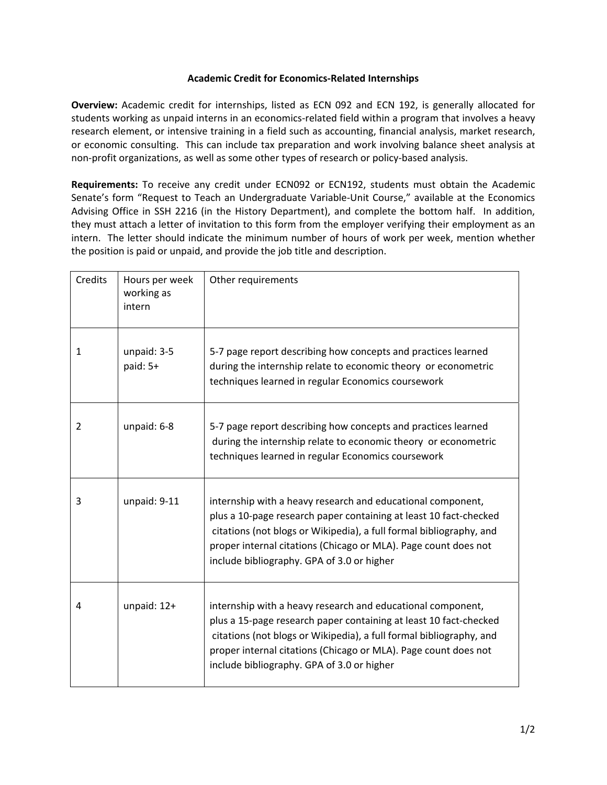## **Academic Credit for Economics-Related Internships**

**Overview:** Academic credit for internships, listed as ECN 092 and ECN 192, is generally allocated for students working as unpaid interns in an economics-related field within a program that involves a heavy research element, or intensive training in a field such as accounting, financial analysis, market research, or economic consulting. This can include tax preparation and work involving balance sheet analysis at non-profit organizations, as well as some other types of research or policy-based analysis.

**Requirements:** To receive any credit under ECN092 or ECN192, students must obtain the Academic Senate's form "Request to Teach an Undergraduate Variable-Unit Course," available at the Economics Advising Office in SSH 2216 (in the History Department), and complete the bottom half. In addition, they must attach a letter of invitation to this form from the employer verifying their employment as an intern. The letter should indicate the minimum number of hours of work per week, mention whether the position is paid or unpaid, and provide the job title and description.

| Credits        | Hours per week<br>working as<br>intern | Other requirements                                                                                                                                                                                                                                                                                                       |
|----------------|----------------------------------------|--------------------------------------------------------------------------------------------------------------------------------------------------------------------------------------------------------------------------------------------------------------------------------------------------------------------------|
| $\mathbf{1}$   | unpaid: 3-5<br>paid: 5+                | 5-7 page report describing how concepts and practices learned<br>during the internship relate to economic theory or econometric<br>techniques learned in regular Economics coursework                                                                                                                                    |
| $\overline{2}$ | unpaid: 6-8                            | 5-7 page report describing how concepts and practices learned<br>during the internship relate to economic theory or econometric<br>techniques learned in regular Economics coursework                                                                                                                                    |
| 3              | unpaid: 9-11                           | internship with a heavy research and educational component,<br>plus a 10-page research paper containing at least 10 fact-checked<br>citations (not blogs or Wikipedia), a full formal bibliography, and<br>proper internal citations (Chicago or MLA). Page count does not<br>include bibliography. GPA of 3.0 or higher |
| 4              | unpaid: $12+$                          | internship with a heavy research and educational component,<br>plus a 15-page research paper containing at least 10 fact-checked<br>citations (not blogs or Wikipedia), a full formal bibliography, and<br>proper internal citations (Chicago or MLA). Page count does not<br>include bibliography. GPA of 3.0 or higher |